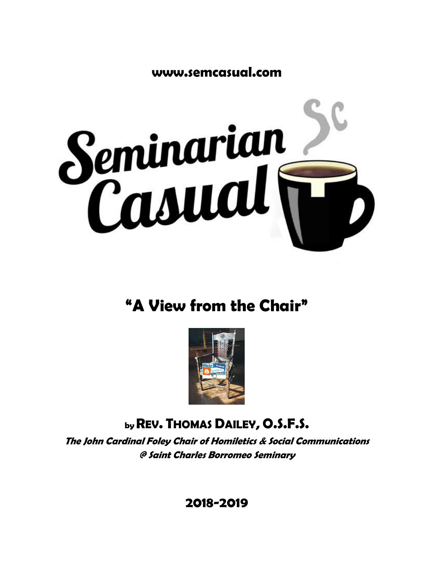**www.semcasual.com**



# **"A View from the Chair"**



## **byREV. THOMAS DAILEY, O.S.F.S.**

**The John Cardinal Foley Chair of Homiletics & Social Communications @ Saint Charles Borromeo Seminary**

**2018-2019**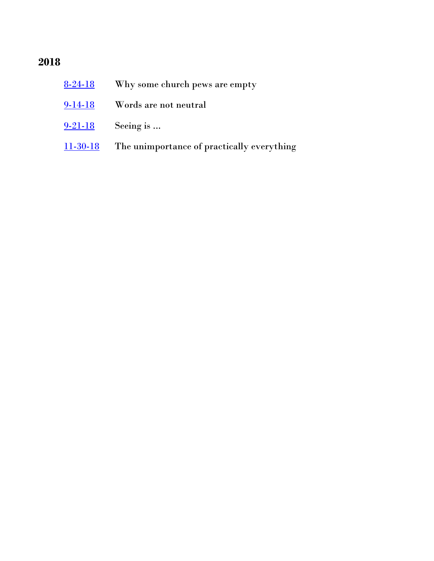### **2018**

| $8 - 24 - 18$  | Why some church pews are empty             |
|----------------|--------------------------------------------|
| $9-14-18$      | Words are not neutral                      |
| $9 - 21 - 18$  | Seeing is                                  |
| $11 - 30 - 18$ | The unimportance of practically everything |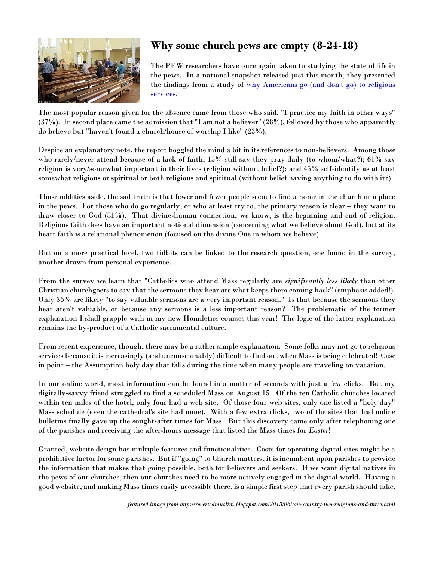<span id="page-2-0"></span>

#### **Why some church pews are empty (8-24-18)**

The PEW researchers have once again taken to studying the state of life in the pews. In a national snapshot released just this month, they presented the findings from a study of why Americans go (and don't go) to religious [services.](http://www.pewforum.org/2018/08/01/why-americans-go-to-religious-services/)

The most popular reason given for the absence came from those who said, "I practice my faith in other ways" (37%). In second place came the admission that "I am not a believer" (28%), followed by those who apparently do believe but "haven't found a church/house of worship I like" (23%).

Despite an explanatory note, the report boggled the mind a bit in its references to non-believers. Among those who rarely/never attend because of a lack of faith, 15% still say they pray daily (to whom/what?); 61% say religion is very/somewhat important in their lives (religion without belief?); and 45% self-identify as at least somewhat religious or spiritual or both religious and spiritual (without belief having anything to do with it?).

Those oddities aside, the sad truth is that fewer and fewer people seem to find a home in the church or a place in the pews. For those who do go regularly, or who at least try to, the primary reason is clear – they want to draw closer to God (81%). That divine-human connection, we know, is the beginning and end of religion. Religious faith does have an important notional dimension (concerning what we believe about God), but at its heart faith is a relational phenomenon (focused on the divine One in whom we believe).

But on a more practical level, two tidbits can be linked to the research question, one found in the survey, another drawn from personal experience.

From the survey we learn that "Catholics who attend Mass regularly are *significantly less likely* than other Christian churchgoers to say that the sermons they hear are what keeps them coming back" (emphasis added!). Only 36% are likely "to say valuable sermons are a very important reason." Is that because the sermons they hear aren't valuable, or because any sermons is a less important reason? The problematic of the former explanation I shall grapple with in my new Homiletics courses this year! The logic of the latter explanation remains the by-product of a Catholic sacramental culture.

From recent experience, though, there may be a rather simple explanation. Some folks may not go to religious services because it is increasingly (and unconscionably) difficult to find out when Mass is being celebrated! Case in point – the Assumption holy day that falls during the time when many people are traveling on vacation.

In our online world, most information can be found in a matter of seconds with just a few clicks. But my digitally-savvy friend struggled to find a scheduled Mass on August 15. Of the ten Catholic churches located within ten miles of the hotel, only four had a web site. Of those four web sites, only one listed a "holy day" Mass schedule (even the cathedral's site had none). With a few extra clicks, two of the sites that had online bulletins finally gave up the sought-after times for Mass. But this discovery came only after telephoning one of the parishes and receiving the after-hours message that listed the Mass times for *Easter*!

Granted, website design has multiple features and functionalities. Costs for operating digital sites might be a prohibitive factor for some parishes. But if "going" to Church matters, it is incumbent upon parishes to provide the information that makes that going possible, both for believers and seekers. If we want digital natives in the pews of our churches, then our churches need to be more actively engaged in the digital world. Having a good website, and making Mass times easily accessible there, is a simple first step that every parish should take.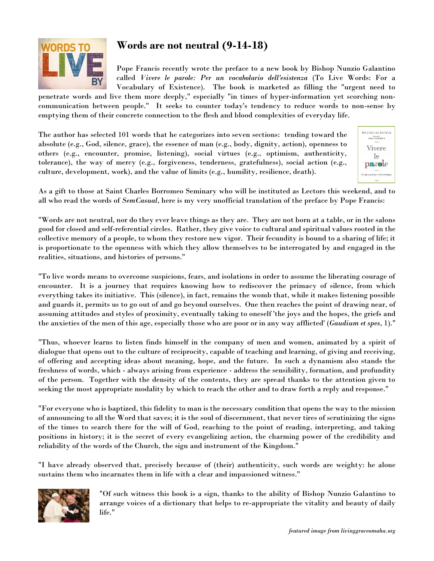<span id="page-3-0"></span>

#### **Words are not neutral (9-14-18)**

Pope Francis recently wrote the preface to a new book by Bishop Nunzio Galantino called *Vivere le parole: Per un vocabolario dell'esistenza* (To Live Words: For a Vocabulary of Existence). The book is marketed as filling the "urgent need to

penetrate words and live them more deeply," especially "in times of hyper-information yet scorching noncommunication between people." It seeks to counter today's tendency to reduce words to non-sense by emptying them of their concrete connection to the flesh and blood complexities of everyday life.

The author has selected 101 words that he categorizes into seven sections: tending toward the absolute (e.g., God, silence, grace), the essence of man (e.g., body, dignity, action), openness to others (e.g., encounter, promise, listening), social virtues (e.g., optimism, authenticity, tolerance), the way of mercy (e.g., forgiveness, tenderness, gratefulness), social action (e.g., culture, development, work), and the value of limits (e.g., humility, resilience, death).



As a gift to those at Saint Charles Borromeo Seminary who will be instituted as Lectors this weekend, and to all who read the words of *SemCasual*, here is my very unofficial translation of the preface by Pope Francis:

"Words are not neutral, nor do they ever leave things as they are. They are not born at a table, or in the salons good for closed and self-referential circles. Rather, they give voice to cultural and spiritual values rooted in the collective memory of a people, to whom they restore new vigor. Their fecundity is bound to a sharing of life; it is proportionate to the openness with which they allow themselves to be interrogated by and engaged in the realities, situations, and histories of persons."

"To live words means to overcome suspicions, fears, and isolations in order to assume the liberating courage of encounter. It is a journey that requires knowing how to rediscover the primacy of silence, from which everything takes its initiative. This (silence), in fact, remains the womb that, while it makes listening possible and guards it, permits us to go out of and go beyond ourselves. One then reaches the point of drawing near, of assuming attitudes and styles of proximity, eventually taking to oneself 'the joys and the hopes, the griefs and the anxieties of the men of this age, especially those who are poor or in any way afflicted' (*Gaudium et spes*, 1)."

"Thus, whoever learns to listen finds himself in the company of men and women, animated by a spirit of dialogue that opens out to the culture of reciprocity, capable of teaching and learning, of giving and receiving, of offering and accepting ideas about meaning, hope, and the future. In such a dynamism also stands the freshness of words, which - always arising from experience - address the sensibility, formation, and profundity of the person. Together with the density of the contents, they are spread thanks to the attention given to seeking the most appropriate modality by which to reach the other and to draw forth a reply and response."

"For everyone who is baptized, this fidelity to man is the necessary condition that opens the way to the mission of announcing to all the Word that saves; it is the soul of discernment, that never tires of scrutinizing the signs of the times to search there for the will of God, reaching to the point of reading, interpreting, and taking positions in history; it is the secret of every evangelizing action, the charming power of the credibility and reliability of the words of the Church, the sign and instrument of the Kingdom."

"I have already observed that, precisely because of (their) authenticity, such words are weighty: he alone sustains them who incarnates them in life with a clear and impassioned witness."



"Of such witness this book is a sign, thanks to the ability of Bishop Nunzio Galantino to arrange voices of a dictionary that helps to re-appropriate the vitality and beauty of daily life."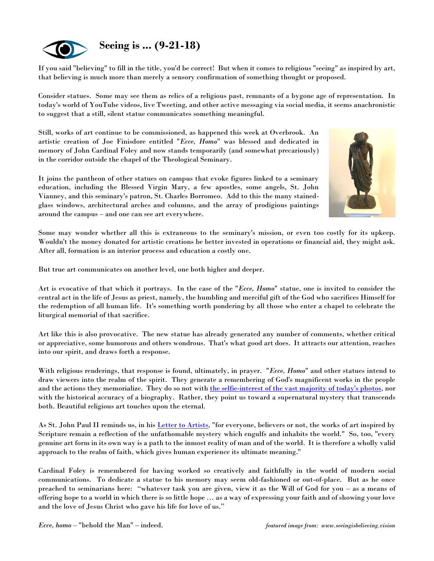<span id="page-4-0"></span>

If you said "believing" to fill in the title, you'd be correct! But when it comes to religious "seeing" as inspired by art, that believing is much more than merely a sensory confirmation of something thought or proposed.

Consider statues. Some may see them as relics of a religious past, remnants of a bygone age of representation. In today's world of YouTube videos, live Tweeting, and other active messaging via social media, it seems anachronistic to suggest that a still, silent statue communicates something meaningful.

Still, works of art continue to be commissioned, as happened this week at Overbrook. An artistic creation of Joe Finisdore entitled "*Ecce, Homo*" was blessed and dedicated in memory of John Cardinal Foley and now stands temporarily (and somewhat precariously) in the corridor outside the chapel of the Theological Seminary.

It joins the pantheon of other statues on campus that evoke figures linked to a seminary education, including the Blessed Virgin Mary, a few apostles, some angels, St. John Vianney, and this seminary's patron, St. Charles Borromeo. Add to this the many stainedglass windows, architectural arches and columns, and the array of prodigious paintings around the campus – and one can see art everywhere.



Some may wonder whether all this is extraneous to the seminary's mission, or even too costly for its upkeep. Wouldn't the money donated for artistic creations be better invested in operations or financial aid, they might ask. After all, formation is an interior process and education a costly one.

But true art communicates on another level, one both higher and deeper.

Art is evocative of that which it portrays. In the case of the "*Ecce, Homo*" statue, one is invited to consider the central act in the life of Jesus as priest, namely, the humbling and merciful gift of the God who sacrifices Himself for the redemption of all human life. It's something worth pondering by all those who enter a chapel to celebrate the liturgical memorial of that sacrifice.

Art like this is also provocative. The new statue has already generated any number of comments, whether critical or appreciative, some humorous and others wondrous. That's what good art does. It attracts our attention, reaches into our spirit, and draws forth a response.

With religious renderings, that response is found, ultimately, in prayer. "*Ecce, Homo*" and other statues intend to draw viewers into the realm of the spirit. They generate a remembering of God's magnificent works in the people and the actions they memorialize. They do so not with [the selfie-interest of the vast majority of today's photos,](http://churchlife.nd.edu/2018/07/02/the-digital-displacement-of-transcendence-at-concerts/) nor with the historical accuracy of a biography. Rather, they point us toward a supernatural mystery that transcends both. Beautiful religious art touches upon the eternal.

As St. John Paul II reminds us, in his [Letter to Artists,](http://w2.vatican.va/content/john-paul-ii/en/letters/1999/documents/hf_jp-ii_let_23041999_artists.html) "for everyone, believers or not, the works of art inspired by Scripture remain a reflection of the unfathomable mystery which engulfs and inhabits the world." So, too, "every genuine art form in its own way is a path to the inmost reality of man and of the world. It is therefore a wholly valid approach to the realm of faith, which gives human experience its ultimate meaning."

Cardinal Foley is remembered for having worked so creatively and faithfully in the world of modern social communications. To dedicate a statue to his memory may seem old-fashioned or out-of-place. But as he once preached to seminarians here: "whatever task you are given, view it as the Will of God for you – as a means of offering hope to a world in which there is so little hope … as a way of expressing your faith and of showing your love and the love of Jesus Christ who gave his life for love of us."